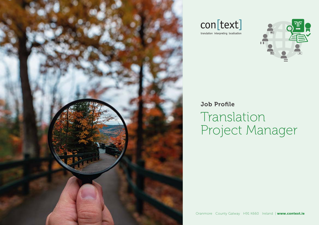





## Job Profile Translation Project Manager

Oranmore County Galway H91 K660 Ireland | www.context.ie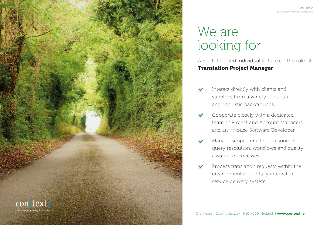

#### Job Profile Translation Project Manager

## We are looking for

A multi-talented individual to take on the role of Translation Project Manager

- Interact directly with clients and suppliers from a variety of cultural and linguistic backgrounds.
- Cooperate closely with a dedicated team of Project and Account Managers and an inhouse Software Developer.
- Manage scope, time lines, resources, query resolution, workflows and quality assurance processes.
- Process translation requests within the environment of our fully integrated service delivery system.

Oranmore County Galway H91 K660 Ireland | www.context.ie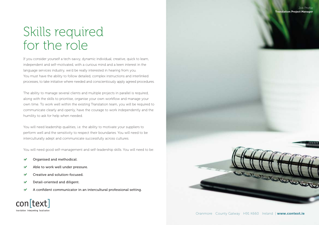## Skills required for the role

If you consider yourself a tech-savvy, dynamic individual, creative, quick to learn, independent and self-motivated, with a curious mind and a keen interest in the language services industry, we'd be really interested in hearing from you. You must have the ability to follow detailed, complex instructions and interlinked processes, to take initiative where needed and conscientiously apply agreed procedures.

The ability to manage several clients and multiple projects in parallel is required, along with the skills to prioritise, organise your own workflow and manage your own time. To work well within the existing Translation team, you will be required to communicate clearly and openly, have the courage to work independently and the humility to ask for help when needed.

You will need leadership qualities, i.e. the ability to motivate your suppliers to perform well and the sensitivity to respect their boundaries. You will need to be interculturally adept and communicate successfully across cultures.

You will need good self-management and self-leadership skills. You will need to be:

- Organised and methodical.
- Able to work well under pressure.
- Creative and solution-focused.
- Detail-oriented and diligent.  $\checkmark$

con[text] translation interpreting localisatio

A confident communicator in an intercultural professional setting.

Oranmore County Galway H91 K660 Ireland | www.context.ie

Walletter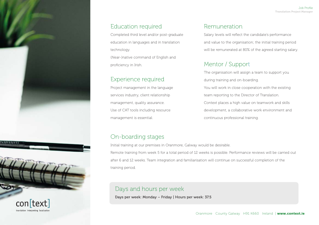#### Education required

Completed third level and/or post-graduate education in languages and in translation technology. (Near-)native command of English and proficiency in Irish.

### Experience required

Project management in the language services industry, client relationship management, quality assurance. Use of CAT tools including resource management is essential.

#### Remuneration

Salary levels will reflect the candidate's performance and value to the organisation; the initial training period will be remunerated at 80% of the agreed starting salary.

#### Mentor / Support

The organisation will assign a team to support you during training and on-boarding. You will work in close cooperation with the existing team reporting to the Director of Translation. Context places a high value on teamwork and skills development, a collaborative work environment and continuous professional training.

#### On-boarding stages

Initial training at our premises in Oranmore, Galway would be desirable.

Remote training from week 5 for a total period of 12 weeks is possible. Performance reviews will be carried out after 6 and 12 weeks. Team integration and familiarisation will continue on successful completion of the training period.

#### Days and hours per week

Days per week: Monday – Friday | Hours per week: 37.5



translation interpreting localisa